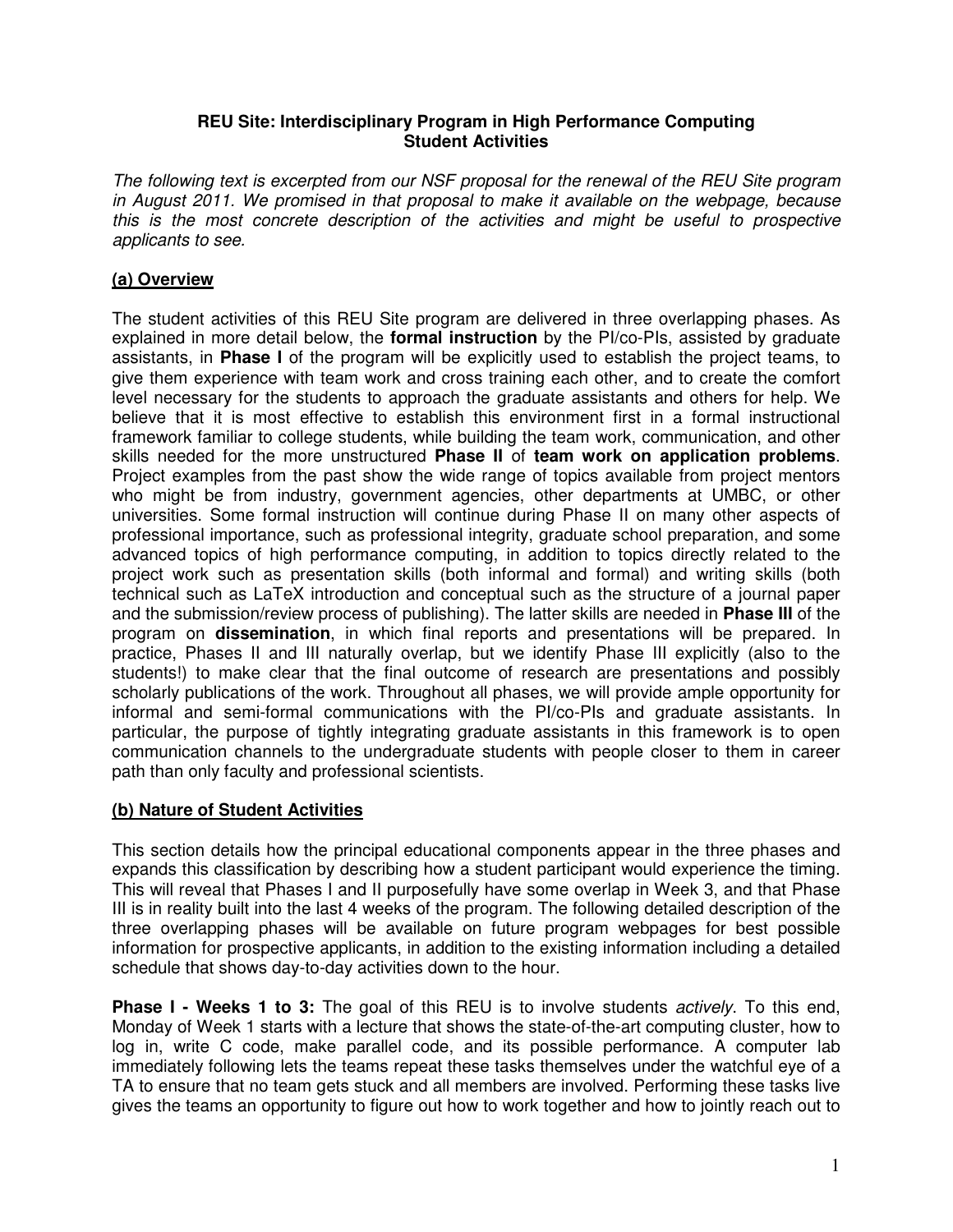## **REU Site: Interdisciplinary Program in High Performance Computing Student Activities**

The following text is excerpted from our NSF proposal for the renewal of the REU Site program in August 2011. We promised in that proposal to make it available on the webpage, because this is the most concrete description of the activities and might be useful to prospective applicants to see.

## **(a) Overview**

The student activities of this REU Site program are delivered in three overlapping phases. As explained in more detail below, the **formal instruction** by the PI/co-PIs, assisted by graduate assistants, in **Phase I** of the program will be explicitly used to establish the project teams, to give them experience with team work and cross training each other, and to create the comfort level necessary for the students to approach the graduate assistants and others for help. We believe that it is most effective to establish this environment first in a formal instructional framework familiar to college students, while building the team work, communication, and other skills needed for the more unstructured **Phase II** of **team work on application problems**. Project examples from the past show the wide range of topics available from project mentors who might be from industry, government agencies, other departments at UMBC, or other universities. Some formal instruction will continue during Phase II on many other aspects of professional importance, such as professional integrity, graduate school preparation, and some advanced topics of high performance computing, in addition to topics directly related to the project work such as presentation skills (both informal and formal) and writing skills (both technical such as LaTeX introduction and conceptual such as the structure of a journal paper and the submission/review process of publishing). The latter skills are needed in **Phase III** of the program on **dissemination**, in which final reports and presentations will be prepared. In practice, Phases II and III naturally overlap, but we identify Phase III explicitly (also to the students!) to make clear that the final outcome of research are presentations and possibly scholarly publications of the work. Throughout all phases, we will provide ample opportunity for informal and semi-formal communications with the PI/co-PIs and graduate assistants. In particular, the purpose of tightly integrating graduate assistants in this framework is to open communication channels to the undergraduate students with people closer to them in career path than only faculty and professional scientists.

## **(b) Nature of Student Activities**

This section details how the principal educational components appear in the three phases and expands this classification by describing how a student participant would experience the timing. This will reveal that Phases I and II purposefully have some overlap in Week 3, and that Phase III is in reality built into the last 4 weeks of the program. The following detailed description of the three overlapping phases will be available on future program webpages for best possible information for prospective applicants, in addition to the existing information including a detailed schedule that shows day-to-day activities down to the hour.

**Phase I - Weeks 1 to 3:** The goal of this REU is to involve students *actively*. To this end, Monday of Week 1 starts with a lecture that shows the state-of-the-art computing cluster, how to log in, write C code, make parallel code, and its possible performance. A computer lab immediately following lets the teams repeat these tasks themselves under the watchful eye of a TA to ensure that no team gets stuck and all members are involved. Performing these tasks live gives the teams an opportunity to figure out how to work together and how to jointly reach out to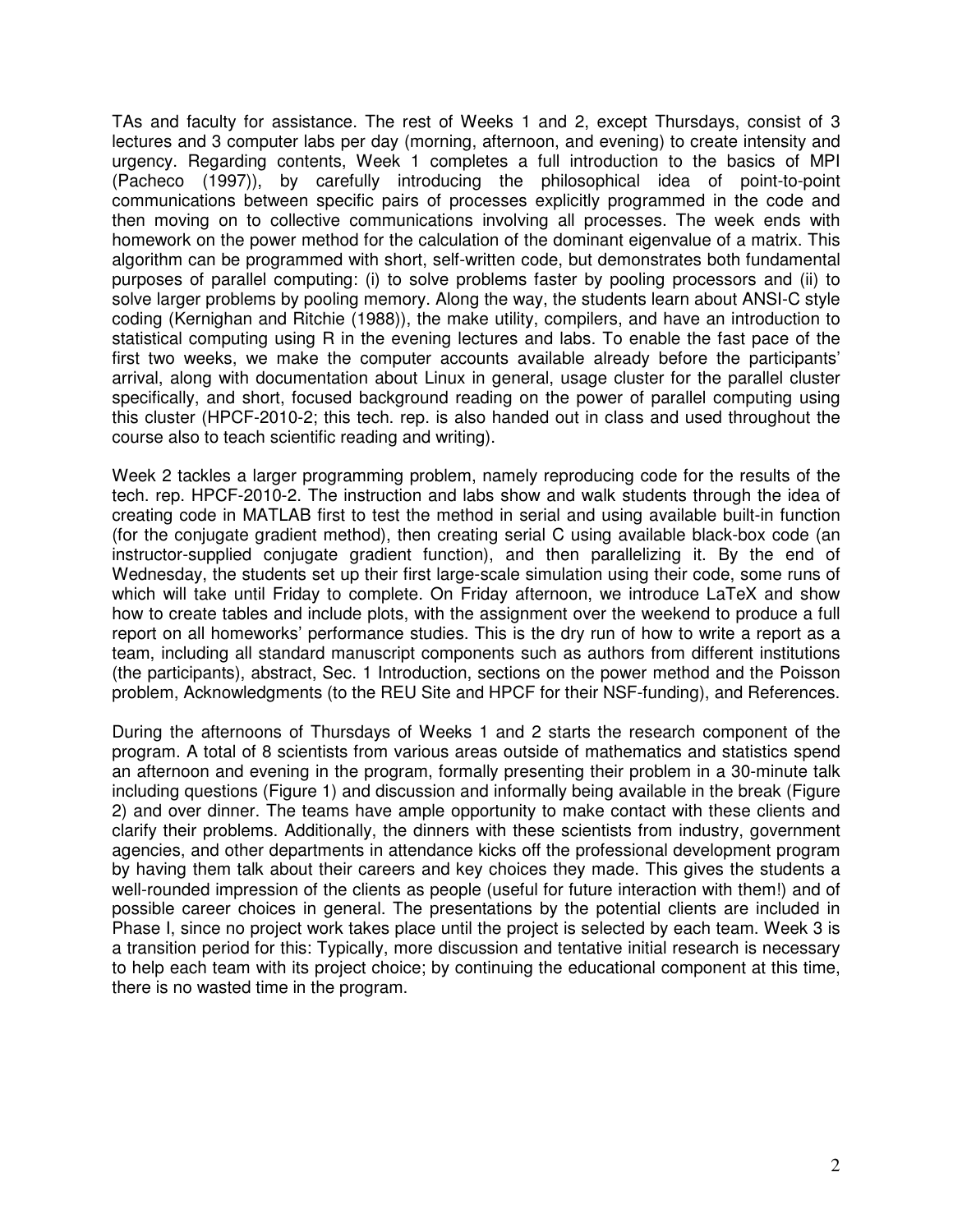TAs and faculty for assistance. The rest of Weeks 1 and 2, except Thursdays, consist of 3 lectures and 3 computer labs per day (morning, afternoon, and evening) to create intensity and urgency. Regarding contents, Week 1 completes a full introduction to the basics of MPI (Pacheco (1997)), by carefully introducing the philosophical idea of point-to-point communications between specific pairs of processes explicitly programmed in the code and then moving on to collective communications involving all processes. The week ends with homework on the power method for the calculation of the dominant eigenvalue of a matrix. This algorithm can be programmed with short, self-written code, but demonstrates both fundamental purposes of parallel computing: (i) to solve problems faster by pooling processors and (ii) to solve larger problems by pooling memory. Along the way, the students learn about ANSI-C style coding (Kernighan and Ritchie (1988)), the make utility, compilers, and have an introduction to statistical computing using R in the evening lectures and labs. To enable the fast pace of the first two weeks, we make the computer accounts available already before the participants' arrival, along with documentation about Linux in general, usage cluster for the parallel cluster specifically, and short, focused background reading on the power of parallel computing using this cluster (HPCF-2010-2; this tech. rep. is also handed out in class and used throughout the course also to teach scientific reading and writing).

Week 2 tackles a larger programming problem, namely reproducing code for the results of the tech. rep. HPCF-2010-2. The instruction and labs show and walk students through the idea of creating code in MATLAB first to test the method in serial and using available built-in function (for the conjugate gradient method), then creating serial C using available black-box code (an instructor-supplied conjugate gradient function), and then parallelizing it. By the end of Wednesday, the students set up their first large-scale simulation using their code, some runs of which will take until Friday to complete. On Friday afternoon, we introduce LaTeX and show how to create tables and include plots, with the assignment over the weekend to produce a full report on all homeworks' performance studies. This is the dry run of how to write a report as a team, including all standard manuscript components such as authors from different institutions (the participants), abstract, Sec. 1 Introduction, sections on the power method and the Poisson problem, Acknowledgments (to the REU Site and HPCF for their NSF-funding), and References.

During the afternoons of Thursdays of Weeks 1 and 2 starts the research component of the program. A total of 8 scientists from various areas outside of mathematics and statistics spend an afternoon and evening in the program, formally presenting their problem in a 30-minute talk including questions (Figure 1) and discussion and informally being available in the break (Figure 2) and over dinner. The teams have ample opportunity to make contact with these clients and clarify their problems. Additionally, the dinners with these scientists from industry, government agencies, and other departments in attendance kicks off the professional development program by having them talk about their careers and key choices they made. This gives the students a well-rounded impression of the clients as people (useful for future interaction with them!) and of possible career choices in general. The presentations by the potential clients are included in Phase I, since no project work takes place until the project is selected by each team. Week 3 is a transition period for this: Typically, more discussion and tentative initial research is necessary to help each team with its project choice; by continuing the educational component at this time, there is no wasted time in the program.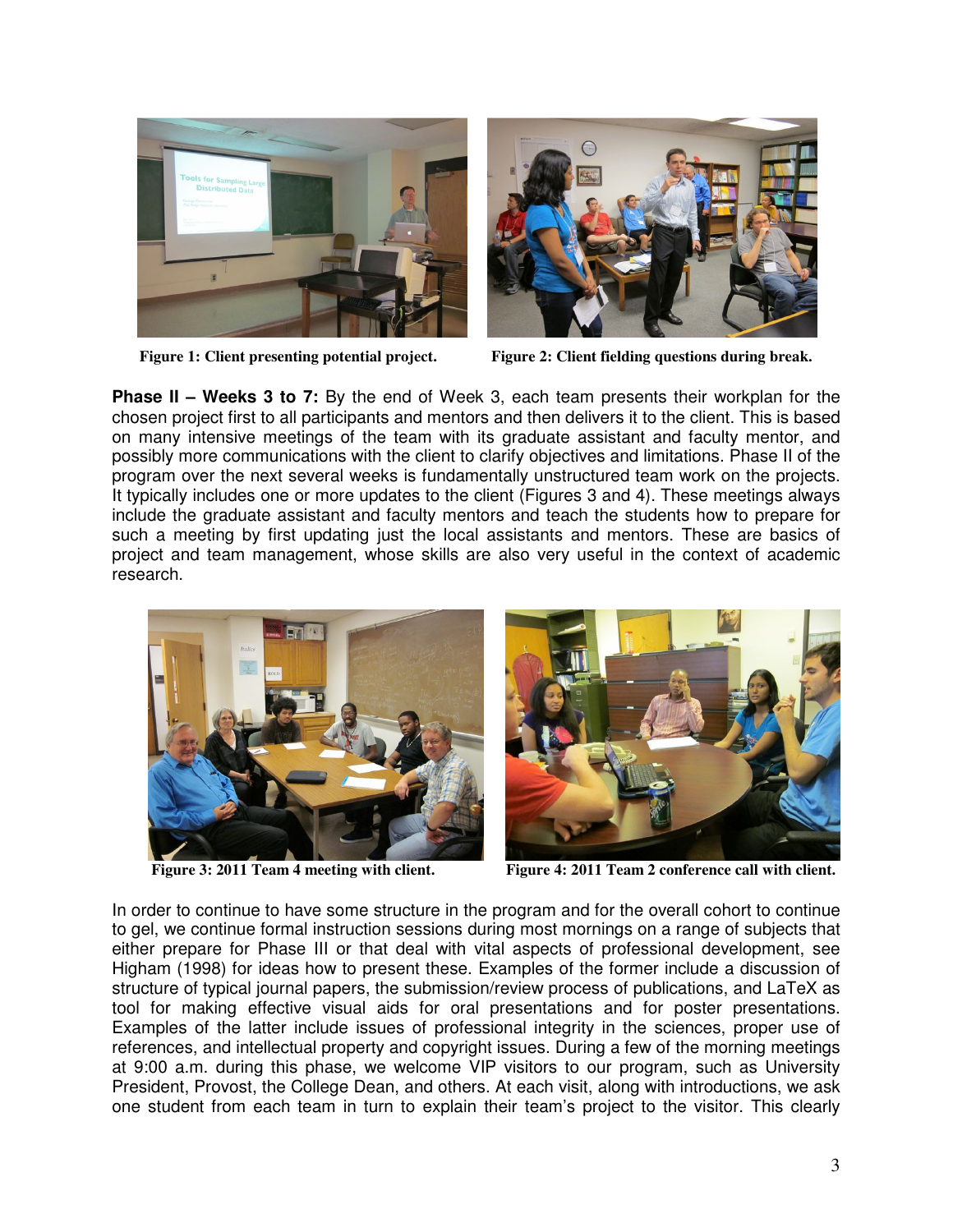



**Figure 1: Client presenting potential project. Figure 2: Client fielding questions during break.** 

**Phase II – Weeks 3 to 7:** By the end of Week 3, each team presents their workplan for the chosen project first to all participants and mentors and then delivers it to the client. This is based on many intensive meetings of the team with its graduate assistant and faculty mentor, and possibly more communications with the client to clarify objectives and limitations. Phase II of the program over the next several weeks is fundamentally unstructured team work on the projects. It typically includes one or more updates to the client (Figures 3 and 4). These meetings always include the graduate assistant and faculty mentors and teach the students how to prepare for such a meeting by first updating just the local assistants and mentors. These are basics of project and team management, whose skills are also very useful in the context of academic research.



**Figure 3: 2011 Team 4 meeting with client. Figure 4: 2011 Team 2 conference call with client.**

In order to continue to have some structure in the program and for the overall cohort to continue to gel, we continue formal instruction sessions during most mornings on a range of subjects that either prepare for Phase III or that deal with vital aspects of professional development, see Higham (1998) for ideas how to present these. Examples of the former include a discussion of structure of typical journal papers, the submission/review process of publications, and LaTeX as tool for making effective visual aids for oral presentations and for poster presentations. Examples of the latter include issues of professional integrity in the sciences, proper use of references, and intellectual property and copyright issues. During a few of the morning meetings at 9:00 a.m. during this phase, we welcome VIP visitors to our program, such as University President, Provost, the College Dean, and others. At each visit, along with introductions, we ask one student from each team in turn to explain their team's project to the visitor. This clearly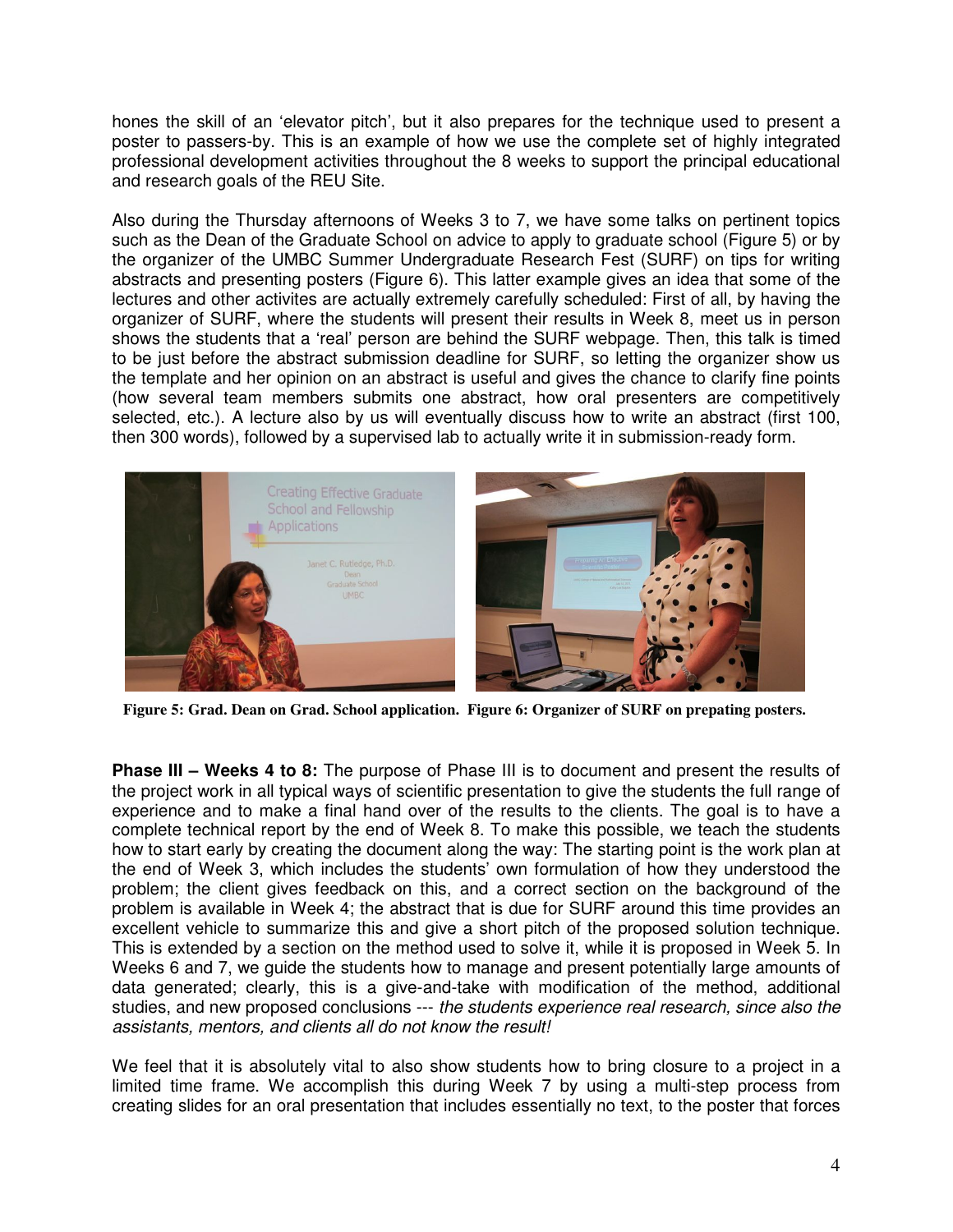hones the skill of an 'elevator pitch', but it also prepares for the technique used to present a poster to passers-by. This is an example of how we use the complete set of highly integrated professional development activities throughout the 8 weeks to support the principal educational and research goals of the REU Site.

Also during the Thursday afternoons of Weeks 3 to 7, we have some talks on pertinent topics such as the Dean of the Graduate School on advice to apply to graduate school (Figure 5) or by the organizer of the UMBC Summer Undergraduate Research Fest (SURF) on tips for writing abstracts and presenting posters (Figure 6). This latter example gives an idea that some of the lectures and other activites are actually extremely carefully scheduled: First of all, by having the organizer of SURF, where the students will present their results in Week 8, meet us in person shows the students that a 'real' person are behind the SURF webpage. Then, this talk is timed to be just before the abstract submission deadline for SURF, so letting the organizer show us the template and her opinion on an abstract is useful and gives the chance to clarify fine points (how several team members submits one abstract, how oral presenters are competitively selected, etc.). A lecture also by us will eventually discuss how to write an abstract (first 100, then 300 words), followed by a supervised lab to actually write it in submission-ready form.



**Figure 5: Grad. Dean on Grad. School application. Figure 6: Organizer of SURF on prepating posters.**

**Phase III – Weeks 4 to 8:** The purpose of Phase III is to document and present the results of the project work in all typical ways of scientific presentation to give the students the full range of experience and to make a final hand over of the results to the clients. The goal is to have a complete technical report by the end of Week 8. To make this possible, we teach the students how to start early by creating the document along the way: The starting point is the work plan at the end of Week 3, which includes the students' own formulation of how they understood the problem; the client gives feedback on this, and a correct section on the background of the problem is available in Week 4; the abstract that is due for SURF around this time provides an excellent vehicle to summarize this and give a short pitch of the proposed solution technique. This is extended by a section on the method used to solve it, while it is proposed in Week 5. In Weeks 6 and 7, we guide the students how to manage and present potentially large amounts of data generated; clearly, this is a give-and-take with modification of the method, additional studies, and new proposed conclusions --- the students experience real research, since also the assistants, mentors, and clients all do not know the result!

We feel that it is absolutely vital to also show students how to bring closure to a project in a limited time frame. We accomplish this during Week 7 by using a multi-step process from creating slides for an oral presentation that includes essentially no text, to the poster that forces